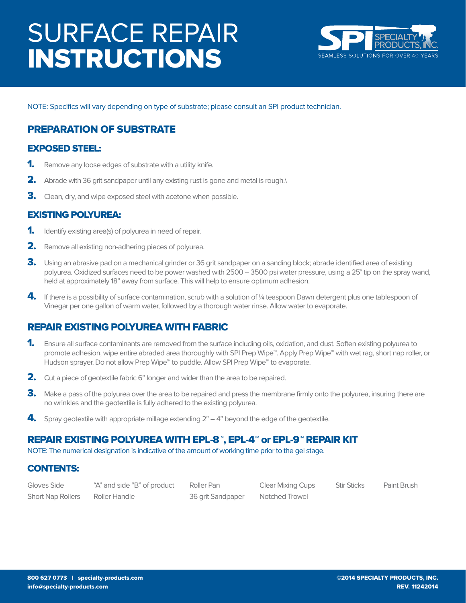# SURFACE REPAIR INSTRUCTIONS



NOTE: Specifics will vary depending on type of substrate; please consult an SPI product technician.

## PREPARATION OF SUBSTRATE

#### EXPOSED STEEL:

- **1.** Remove any loose edges of substrate with a utility knife.
- 2. Abrade with 36 grit sandpaper until any existing rust is gone and metal is rough.\
- **3.** Clean, dry, and wipe exposed steel with acetone when possible.

### EXISTING POLYUREA:

- **1.** Identify existing area(s) of polyurea in need of repair.
- **2.** Remove all existing non-adhering pieces of polyurea.
- 3. Using an abrasive pad on a mechanical grinder or 36 grit sandpaper on a sanding block; abrade identified area of existing polyurea. Oxidized surfaces need to be power washed with 2500 – 3500 psi water pressure, using a 25° tip on the spray wand, held at approximately 18" away from surface. This will help to ensure optimum adhesion.
- 4. If there is a possibility of surface contamination, scrub with a solution of 1/4 teaspoon Dawn detergent plus one tablespoon of Vinegar per one gallon of warm water, followed by a thorough water rinse. Allow water to evaporate.

## REPAIR EXISTING POLYUREA WITH FABRIC

- 1. Ensure all surface contaminants are removed from the surface including oils, oxidation, and dust. Soften existing polyurea to promote adhesion, wipe entire abraded area thoroughly with SPI Prep Wipe™. Apply Prep Wipe™ with wet rag, short nap roller, or Hudson sprayer. Do not allow Prep Wipe<sup>™</sup> to puddle. Allow SPI Prep Wipe<sup>™</sup> to evaporate.
- 2. Cut a piece of geotextile fabric 6" longer and wider than the area to be repaired.
- 3. Make a pass of the polyurea over the area to be repaired and press the membrane firmly onto the polyurea, insuring there are no wrinkles and the geotextile is fully adhered to the existing polyurea.
- 4. Spray geotextile with appropriate millage extending  $2<sup>n</sup> 4<sup>n</sup>$  beyond the edge of the geotextile.

### REPAIR EXISTING POLYUREA WITH EPL-8™, EPL-4™ or EPL-9™ REPAIR KIT

NOTE: The numerical designation is indicative of the amount of working time prior to the gel stage.

#### CONTENTS:

| Gloves Side              | "A" and side "B" of product | Roller Pan        | Clear Mixing Cups | <b>Stir Sticks</b> | Paint Brush |
|--------------------------|-----------------------------|-------------------|-------------------|--------------------|-------------|
| <b>Short Nap Rollers</b> | Roller Handle               | 36 grit Sandpaper | Notched Trowel    |                    |             |